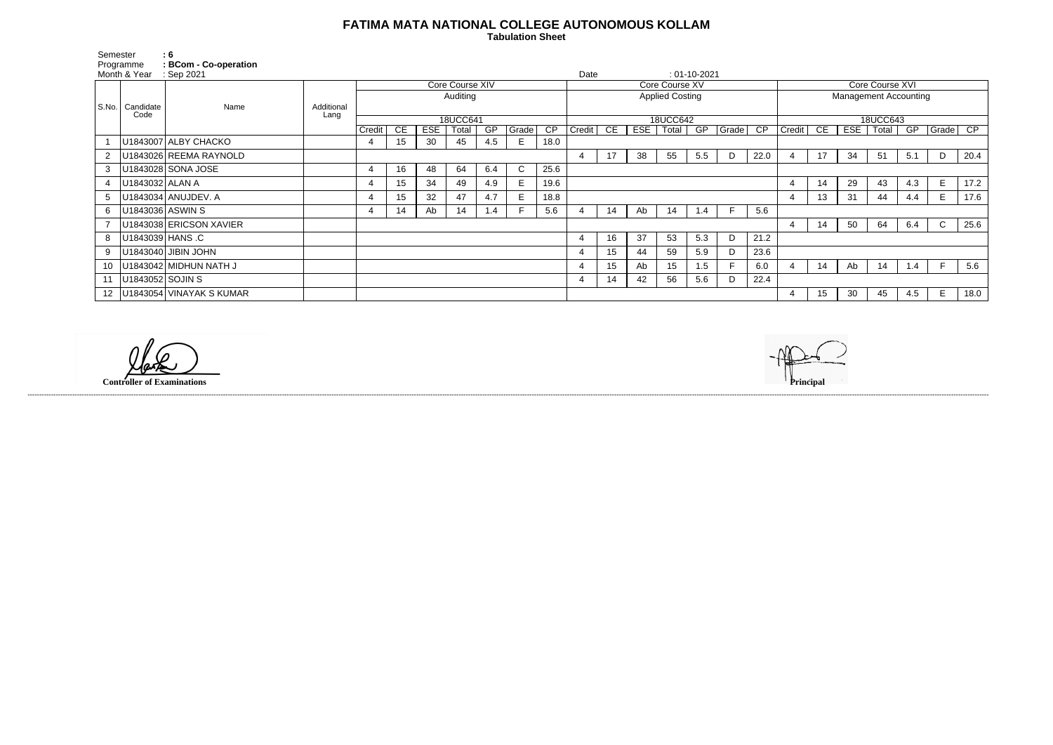## **FATIMA MATA NATIONAL COLLEGE AUTONOMOUS KOLLAM**

 **Tabulation Sheet** 

| Semester<br>Programme<br>Month & Year |                           | $\mathbf{.6}$<br>: BCom - Co-operation<br>: Sep 2021 |                    |                 |    |            |       |     |              |                                          | Date     |    |            |       | $: 01-10-2021$ |               |                              |          |    |            |         |     |              |      |
|---------------------------------------|---------------------------|------------------------------------------------------|--------------------|-----------------|----|------------|-------|-----|--------------|------------------------------------------|----------|----|------------|-------|----------------|---------------|------------------------------|----------|----|------------|---------|-----|--------------|------|
|                                       |                           |                                                      | Additional<br>Lang | Core Course XIV |    |            |       |     |              | Core Course XV<br><b>Applied Costing</b> |          |    |            |       |                |               | Core Course XVI              |          |    |            |         |     |              |      |
|                                       | S.No.   Candidate<br>Code | Name                                                 |                    | Auditing        |    |            |       |     |              |                                          |          |    |            |       |                |               | <b>Management Accounting</b> |          |    |            |         |     |              |      |
|                                       |                           |                                                      |                    | 18UCC641        |    |            |       |     |              |                                          | 18UCC642 |    |            |       |                |               |                              | 18UCC643 |    |            |         |     |              |      |
|                                       |                           |                                                      |                    | Credit          | CE | <b>ESE</b> | Total | GP  | Grade        | CP                                       | Credit   | CE | <b>ESE</b> | Total | GP             | $ $ Grade $ $ | CP                           | Credit   | CE | <b>ESE</b> | ∣ Total | GP  | Grade        | CP   |
|                                       |                           | U1843007 ALBY CHACKO                                 |                    | 4               | 15 | 30         | 45    | 4.5 | E            | 18.0                                     |          |    |            |       |                |               |                              |          |    |            |         |     |              |      |
|                                       |                           | U1843026 REEMA RAYNOLD                               |                    |                 |    |            |       |     |              |                                          | -4       | 17 | 38         | 55    | 5.5            | D             | 22.0                         | 4        | 17 | 34         | 51      | 5.1 | D            | 20.4 |
| 3 <sup>1</sup>                        |                           | U1843028 SONA JOSE                                   |                    | 4               | 16 | 48         | 64    | 6.4 | $\mathsf{C}$ | 25.6                                     |          |    |            |       |                |               |                              |          |    |            |         |     |              |      |
|                                       | U1843032   ALAN A         |                                                      |                    | 4               | 15 | 34         | 49    | 4.9 | E            | 19.6                                     |          |    |            |       |                |               |                              | 4        | 14 | 29         | 43      | 4.3 | E.           | 17.2 |
| 5 <sup>5</sup>                        |                           | U1843034 ANUJDEV. A                                  |                    | 4               | 15 | 32         | 47    | 4.7 | E            | 18.8                                     |          |    |            |       |                |               |                              | 4        | 13 | 31         | 44      | 4.4 | E.           | 17.6 |
| 6                                     | U1843036 ASWIN S          |                                                      |                    | 4               | 14 | Ab         | 14    | 1.4 |              | 5.6                                      |          | 14 | Ab         | 14    | 1.4            | F.            | 5.6                          |          |    |            |         |     |              |      |
|                                       |                           | U1843038 ERICSON XAVIER                              |                    |                 |    |            |       |     |              |                                          |          |    |            |       |                |               |                              | 4        | 14 | 50         | 64      | 6.4 | $\mathsf{C}$ | 25.6 |
| 8                                     | U1843039 HANS C           |                                                      |                    |                 |    |            |       |     |              |                                          | 4        | 16 | 37         | 53    | 5.3            | D             | 21.2                         |          |    |            |         |     |              |      |
| 9                                     |                           | U1843040 JIBIN JOHN                                  |                    |                 |    |            |       |     |              |                                          |          | 15 | 44         | 59    | 5.9            | D             | 23.6                         |          |    |            |         |     |              |      |
| 10                                    |                           | U1843042 MIDHUN NATH J                               |                    |                 |    |            |       |     |              |                                          |          | 15 | Ab         | 15    | 1.5            |               | 6.0                          |          | 14 | Ab         | 14      | 1.4 | F.           | 5.6  |
|                                       | 11   U1843052 SOJIN S     |                                                      |                    |                 |    |            |       |     |              |                                          |          | 14 | 42         | 56    | 5.6            | D             | 22.4                         |          |    |            |         |     |              |      |
|                                       |                           | 12   U1843054   VINAYAK S KUMAR                      |                    |                 |    |            |       |     |              |                                          |          |    |            |       |                |               |                              | 4        | 15 | 30         | 45      | 4.5 | E            | 18.0 |

------------------------------------------------------------------------------------------------------------------------------------------------------------------------------------------------------------------------------------------------------------------------------------------------------------------------------------------------------------------------------------------------------------------------

**Controller of Examinations**